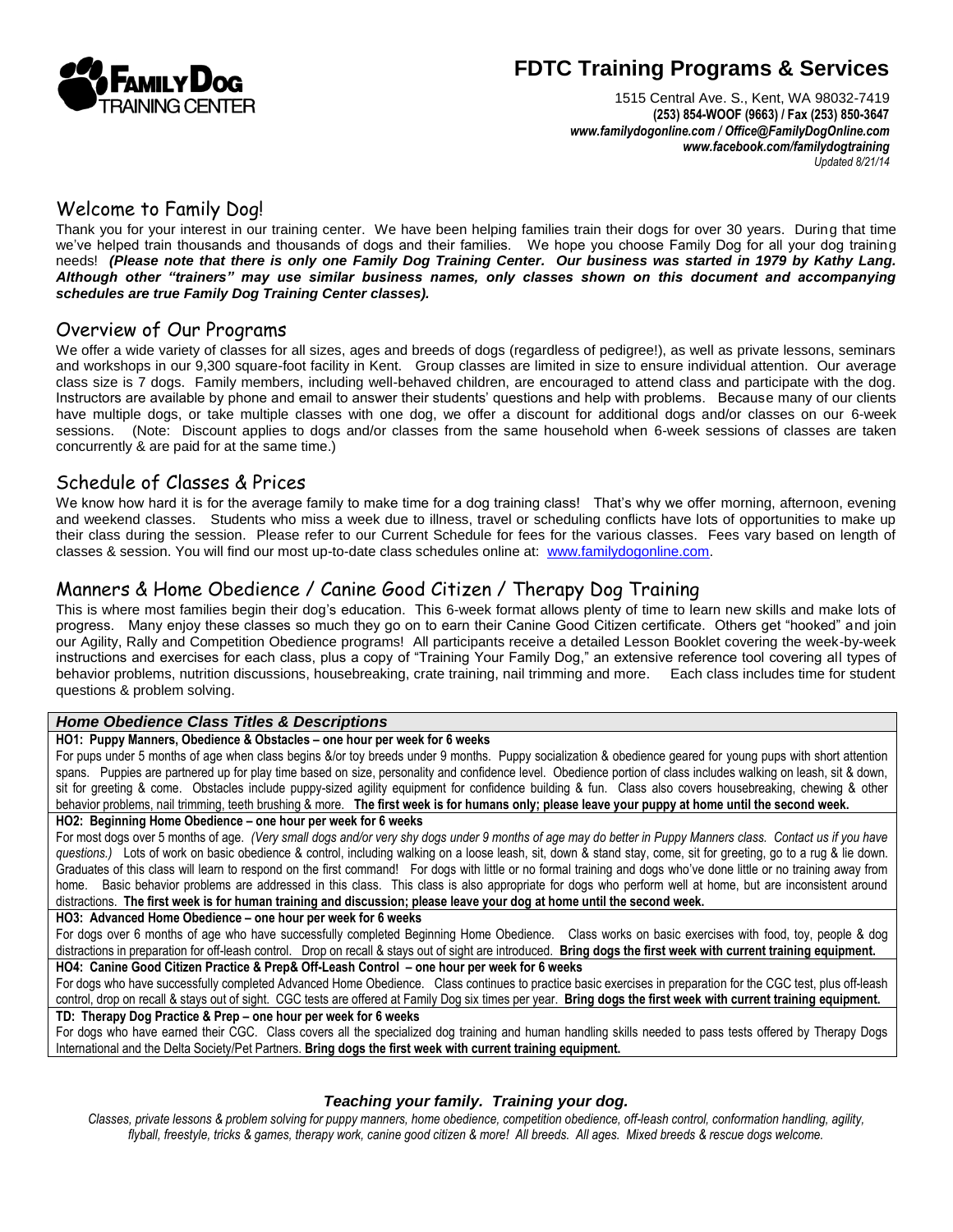

# **FDTC Training Programs & Services**

1515 Central Ave. S., Kent, WA 98032-7419 **(253) 854-WOOF (9663) / Fax (253) 850-3647** *www.familydogonline.com / Offic[e@FamilyDogOnline.com](mailto:Info@FamilyDogOnline.com) www.facebook.com/familydogtraining Updated 8/21/14*

## Welcome to Family Dog!

Thank you for your interest in our training center. We have been helping families train their dogs for over 30 years. During that time we've helped train thousands and thousands of dogs and their families. We hope you choose Family Dog for all your dog training needs! *(Please note that there is only one Family Dog Training Center. Our business was started in 1979 by Kathy Lang. Although other "trainers" may use similar business names, only classes shown on this document and accompanying schedules are true Family Dog Training Center classes).*

#### Overview of Our Programs

We offer a wide variety of classes for all sizes, ages and breeds of dogs (regardless of pedigree!), as well as private lessons, seminars and workshops in our 9,300 square-foot facility in Kent. Group classes are limited in size to ensure individual attention. Our average class size is 7 dogs. Family members, including well-behaved children, are encouraged to attend class and participate with the dog. Instructors are available by phone and email to answer their students' questions and help with problems. Because many of our clients have multiple dogs, or take multiple classes with one dog, we offer a discount for additional dogs and/or classes on our 6-week sessions. (Note: Discount applies to dogs and/or classes from the same household when 6-week sessions of classes are taken concurrently & are paid for at the same time.)

#### Schedule of Classes & Prices

We know how hard it is for the average family to make time for a dog training class! That's why we offer morning, afternoon, evening and weekend classes. Students who miss a week due to illness, travel or scheduling conflicts have lots of opportunities to make up their class during the session. Please refer to our Current Schedule for fees for the various classes. Fees vary based on length of classes & session. You will find our most up-to-date class schedules online at: [www.familydogonline.com.](http://www.familydogonline.com/)

#### Manners & Home Obedience / Canine Good Citizen / Therapy Dog Training

This is where most families begin their dog's education. This 6-week format allows plenty of time to learn new skills and make lots of progress. Many enjoy these classes so much they go on to earn their Canine Good Citizen certificate. Others get "hooked" and join our Agility, Rally and Competition Obedience programs! All participants receive a detailed Lesson Booklet covering the week-by-week instructions and exercises for each class, plus a copy of "Training Your Family Dog," an extensive reference tool covering all types of behavior problems, nutrition discussions, housebreaking, crate training, nail trimming and more. Each class includes time for student questions & problem solving.

#### *Home Obedience Class Titles & Descriptions*

#### **HO1: Puppy Manners, Obedience & Obstacles – one hour per week for 6 weeks**

For pups under 5 months of age when class begins &/or toy breeds under 9 months. Puppy socialization & obedience geared for young pups with short attention spans. Puppies are partnered up for play time based on size, personality and confidence level. Obedience portion of class includes walking on leash, sit & down, sit for greeting & come. Obstacles include puppy-sized agility equipment for confidence building & fun. Class also covers housebreaking, chewing & other behavior problems, nail trimming, teeth brushing & more. **The first week is for humans only; please leave your puppy at home until the second week. HO2: Beginning Home Obedience – one hour per week for 6 weeks**

For most dogs over 5 months of age. *(Very small dogs and/or very shy dogs under 9 months of age may do better in Puppy Manners class. Contact us if you have questions.)* Lots of work on basic obedience & control, including walking on a loose leash, sit, down & stand stay, come, sit for greeting, go to a rug & lie down. Graduates of this class will learn to respond on the first command! For dogs with little or no formal training and dogs who've done little or no training away from home. Basic behavior problems are addressed in this class. This class is also appropriate for dogs who perform well at home, but are inconsistent around distractions. **The first week is for human training and discussion; please leave your dog at home until the second week.**

**HO3: Advanced Home Obedience – one hour per week for 6 weeks**

|                                                                                             |  | For dogs over 6 months of age who have successfully completed Beginning Home Obedience. Class works on basic exercises with food, toy, people & dog               |  |  |
|---------------------------------------------------------------------------------------------|--|-------------------------------------------------------------------------------------------------------------------------------------------------------------------|--|--|
|                                                                                             |  | distractions in preparation for off-leash control. Drop on recall & stays out of sight are introduced. Bring dogs the first week with current training equipment. |  |  |
| HO4: Canine Good Citizen Practice & Prep& Off-Leash Control – one hour per week for 6 weeks |  |                                                                                                                                                                   |  |  |

For dogs who have successfully completed Advanced Home Obedience. Class continues to practice basic exercises in preparation for the CGC test, plus off-leash control, drop on recall & stays out of sight. CGC tests are offered at Family Dog six times per year. **Bring dogs the first week with current training equipment. TD: Therapy Dog Practice & Prep – one hour per week for 6 weeks**

For dogs who have earned their CGC. Class covers all the specialized dog training and human handling skills needed to pass tests offered by Therapy Dogs International and the Delta Society/Pet Partners. **Bring dogs the first week with current training equipment.**

#### *Teaching your family. Training your dog.*

*Classes, private lessons & problem solving for puppy manners, home obedience, competition obedience, off-leash control, conformation handling, agility, flyball, freestyle, tricks & games, therapy work, canine good citizen & more! All breeds. All ages. Mixed breeds & rescue dogs welcome.*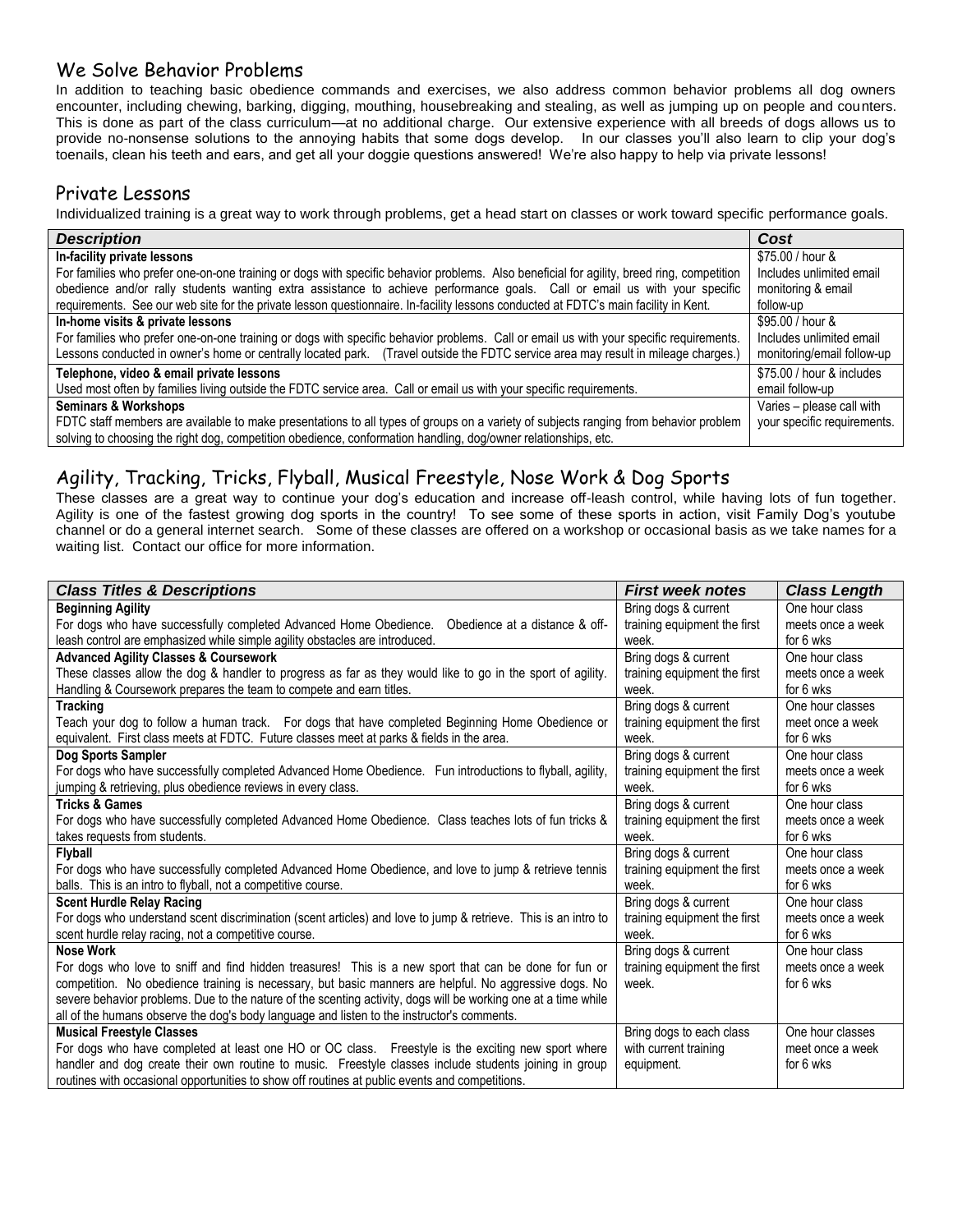## We Solve Behavior Problems

In addition to teaching basic obedience commands and exercises, we also address common behavior problems all dog owners encounter, including chewing, barking, digging, mouthing, housebreaking and stealing, as well as jumping up on people and counters. This is done as part of the class curriculum—at no additional charge. Our extensive experience with all breeds of dogs allows us to provide no-nonsense solutions to the annoying habits that some dogs develop. In our classes you'll also learn to clip your dog's toenails, clean his teeth and ears, and get all your doggie questions answered! We're also happy to help via private lessons!

## Private Lessons

Individualized training is a great way to work through problems, get a head start on classes or work toward specific performance goals.

| <b>Description</b>                                                                                                                        | Cost                        |
|-------------------------------------------------------------------------------------------------------------------------------------------|-----------------------------|
| In-facility private lessons                                                                                                               | \$75.00 / hour &            |
| For families who prefer one-on-one training or dogs with specific behavior problems. Also beneficial for agility, breed ring, competition | Includes unlimited email    |
| obedience and/or rally students wanting extra assistance to achieve performance goals. Call or email us with your specific                | monitoring & email          |
| requirements. See our web site for the private lesson questionnaire. In-facility lessons conducted at FDTC's main facility in Kent.       | follow-up                   |
| In-home visits & private lessons                                                                                                          | \$95.00 / hour &            |
| For families who prefer one-on-one training or dogs with specific behavior problems. Call or email us with your specific requirements.    | Includes unlimited email    |
| Lessons conducted in owner's home or centrally located park. (Travel outside the FDTC service area may result in mileage charges.)        | monitoring/email follow-up  |
| Telephone, video & email private lessons                                                                                                  | \$75.00 / hour & includes   |
| Used most often by families living outside the FDTC service area. Call or email us with your specific requirements.                       | email follow-up             |
| <b>Seminars &amp; Workshops</b>                                                                                                           | Varies - please call with   |
| FDTC staff members are available to make presentations to all types of groups on a variety of subjects ranging from behavior problem      | your specific requirements. |
| solving to choosing the right dog, competition obedience, conformation handling, dog/owner relationships, etc.                            |                             |

## Agility, Tracking, Tricks, Flyball, Musical Freestyle, Nose Work & Dog Sports

These classes are a great way to continue your dog's education and increase off-leash control, while having lots of fun together. Agility is one of the fastest growing dog sports in the country! To see some of these sports in action, visit Family Dog's youtube channel or do a general internet search. Some of these classes are offered on a workshop or occasional basis as we take names for a waiting list. Contact our office for more information.

| <b>Class Titles &amp; Descriptions</b>                                                                         | <b>First week notes</b>      | <b>Class Length</b> |
|----------------------------------------------------------------------------------------------------------------|------------------------------|---------------------|
| <b>Beginning Agility</b>                                                                                       | Bring dogs & current         | One hour class      |
| For dogs who have successfully completed Advanced Home Obedience. Obedience at a distance & off-               | training equipment the first | meets once a week   |
| leash control are emphasized while simple agility obstacles are introduced.                                    | week.                        | for 6 wks           |
| <b>Advanced Agility Classes &amp; Coursework</b>                                                               | Bring dogs & current         | One hour class      |
| These classes allow the dog & handler to progress as far as they would like to go in the sport of agility.     | training equipment the first | meets once a week   |
| Handling & Coursework prepares the team to compete and earn titles.                                            | week.                        | for 6 wks           |
| <b>Tracking</b>                                                                                                | Bring dogs & current         | One hour classes    |
| Teach your dog to follow a human track. For dogs that have completed Beginning Home Obedience or               | training equipment the first | meet once a week    |
| equivalent. First class meets at FDTC. Future classes meet at parks & fields in the area.                      | week.                        | for 6 wks           |
| Dog Sports Sampler                                                                                             | Bring dogs & current         | One hour class      |
| For dogs who have successfully completed Advanced Home Obedience. Fun introductions to flyball, agility,       | training equipment the first | meets once a week   |
| jumping & retrieving, plus obedience reviews in every class.                                                   | week.                        | for 6 wks           |
| <b>Tricks &amp; Games</b>                                                                                      | Bring dogs & current         | One hour class      |
| For dogs who have successfully completed Advanced Home Obedience. Class teaches lots of fun tricks &           | training equipment the first | meets once a week   |
| takes requests from students.                                                                                  | week.                        | for 6 wks           |
| <b>Flyball</b>                                                                                                 | Bring dogs & current         | One hour class      |
| For dogs who have successfully completed Advanced Home Obedience, and love to jump & retrieve tennis           | training equipment the first | meets once a week   |
| balls. This is an intro to flyball, not a competitive course.                                                  | week.                        | for 6 wks           |
| <b>Scent Hurdle Relay Racing</b>                                                                               | Bring dogs & current         | One hour class      |
| For dogs who understand scent discrimination (scent articles) and love to jump & retrieve. This is an intro to | training equipment the first | meets once a week   |
| scent hurdle relay racing, not a competitive course.                                                           | week.                        | for 6 wks           |
| <b>Nose Work</b>                                                                                               | Bring dogs & current         | One hour class      |
| For dogs who love to sniff and find hidden treasures! This is a new sport that can be done for fun or          | training equipment the first | meets once a week   |
| competition. No obedience training is necessary, but basic manners are helpful. No aggressive dogs. No         | week.                        | for 6 wks           |
| severe behavior problems. Due to the nature of the scenting activity, dogs will be working one at a time while |                              |                     |
| all of the humans observe the dog's body language and listen to the instructor's comments.                     |                              |                     |
| <b>Musical Freestyle Classes</b>                                                                               | Bring dogs to each class     | One hour classes    |
| For dogs who have completed at least one HO or OC class. Freestyle is the exciting new sport where             | with current training        | meet once a week    |
| handler and dog create their own routine to music. Freestyle classes include students joining in group         | equipment.                   | for 6 wks           |
| routines with occasional opportunities to show off routines at public events and competitions.                 |                              |                     |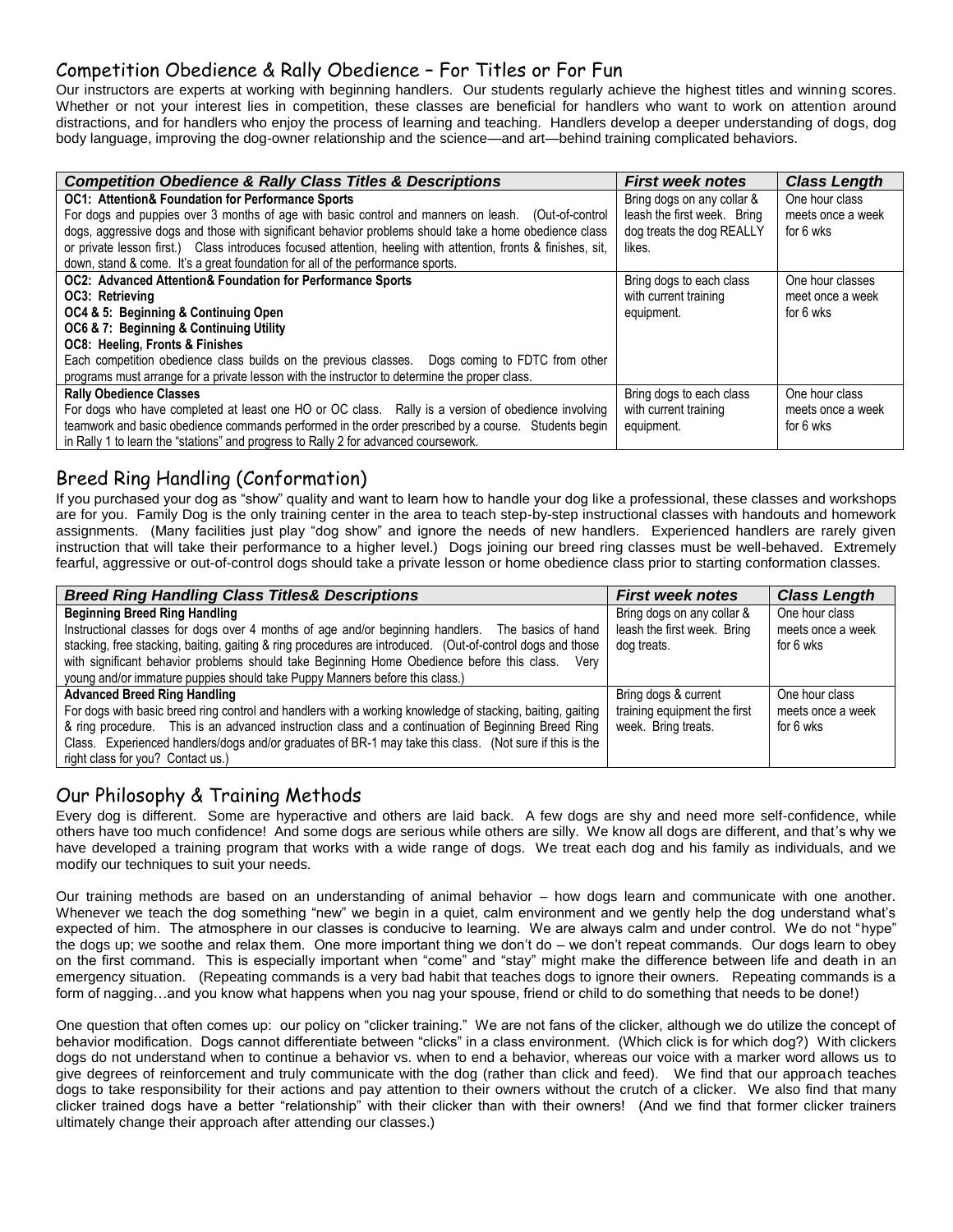## Competition Obedience & Rally Obedience – For Titles or For Fun

Our instructors are experts at working with beginning handlers. Our students regularly achieve the highest titles and winning scores. Whether or not your interest lies in competition, these classes are beneficial for handlers who want to work on attention around distractions, and for handlers who enjoy the process of learning and teaching. Handlers develop a deeper understanding of dogs, dog body language, improving the dog-owner relationship and the science—and art—behind training complicated behaviors.

| <b>Competition Obedience &amp; Rally Class Titles &amp; Descriptions</b>                                      | <b>First week notes</b>     | <b>Class Length</b> |
|---------------------------------------------------------------------------------------------------------------|-----------------------------|---------------------|
| <b>OC1: Attention&amp; Foundation for Performance Sports</b>                                                  | Bring dogs on any collar &  | One hour class      |
| For dogs and puppies over 3 months of age with basic control and manners on leash. (Out-of-control            | leash the first week. Bring | meets once a week   |
| dogs, aggressive dogs and those with significant behavior problems should take a home obedience class         | dog treats the dog REALLY   | for 6 wks           |
| or private lesson first.) Class introduces focused attention, heeling with attention, fronts & finishes, sit, | likes.                      |                     |
| down, stand & come. It's a great foundation for all of the performance sports.                                |                             |                     |
| OC2: Advanced Attention& Foundation for Performance Sports                                                    | Bring dogs to each class    | One hour classes    |
| OC3: Retrieving                                                                                               | with current training       | meet once a week    |
| OC4 & 5: Beginning & Continuing Open                                                                          | equipment.                  | for 6 wks           |
| OC6 & 7: Beginning & Continuing Utility                                                                       |                             |                     |
| OC8: Heeling, Fronts & Finishes                                                                               |                             |                     |
| Each competition obedience class builds on the previous classes.  Dogs coming to FDTC from other              |                             |                     |
| programs must arrange for a private lesson with the instructor to determine the proper class.                 |                             |                     |
| <b>Rally Obedience Classes</b>                                                                                | Bring dogs to each class    | One hour class      |
| For dogs who have completed at least one HO or OC class. Rally is a version of obedience involving            | with current training       | meets once a week   |
| teamwork and basic obedience commands performed in the order prescribed by a course.  Students begin          | equipment.                  | for 6 wks           |
| in Rally 1 to learn the "stations" and progress to Rally 2 for advanced coursework.                           |                             |                     |

## Breed Ring Handling (Conformation)

If you purchased your dog as "show" quality and want to learn how to handle your dog like a professional, these classes and workshops are for you. Family Dog is the only training center in the area to teach step-by-step instructional classes with handouts and homework assignments. (Many facilities just play "dog show" and ignore the needs of new handlers. Experienced handlers are rarely given instruction that will take their performance to a higher level.) Dogs joining our breed ring classes must be well-behaved. Extremely fearful, aggressive or out-of-control dogs should take a private lesson or home obedience class prior to starting conformation classes.

| <b>Breed Ring Handling Class Titles&amp; Descriptions</b>                                                                                                                                                        | <b>First week notes</b>                                   | <b>Class Length</b>                 |
|------------------------------------------------------------------------------------------------------------------------------------------------------------------------------------------------------------------|-----------------------------------------------------------|-------------------------------------|
| <b>Beginning Breed Ring Handling</b>                                                                                                                                                                             | Bring dogs on any collar &<br>leash the first week. Bring | One hour class<br>meets once a week |
| Instructional classes for dogs over 4 months of age and/or beginning handlers.  The basics of hand<br>stacking, free stacking, baiting, gaiting & ring procedures are introduced. (Out-of-control dogs and those | dog treats.                                               | for 6 wks                           |
| with significant behavior problems should take Beginning Home Obedience before this class. Very                                                                                                                  |                                                           |                                     |
| young and/or immature puppies should take Puppy Manners before this class.)                                                                                                                                      |                                                           |                                     |
| <b>Advanced Breed Ring Handling</b>                                                                                                                                                                              | Bring dogs & current                                      | One hour class                      |
| For dogs with basic breed ring control and handlers with a working knowledge of stacking, baiting, gaiting                                                                                                       | training equipment the first                              | meets once a week                   |
| & ring procedure. This is an advanced instruction class and a continuation of Beginning Breed Ring                                                                                                               | week. Bring treats.                                       | for 6 wks                           |
| Class. Experienced handlers/dogs and/or graduates of BR-1 may take this class. (Not sure if this is the                                                                                                          |                                                           |                                     |
| right class for you? Contact us.)                                                                                                                                                                                |                                                           |                                     |

## Our Philosophy & Training Methods

Every dog is different. Some are hyperactive and others are laid back. A few dogs are shy and need more self-confidence, while others have too much confidence! And some dogs are serious while others are silly. We know all dogs are different, and that's why we have developed a training program that works with a wide range of dogs. We treat each dog and his family as individuals, and we modify our techniques to suit your needs.

Our training methods are based on an understanding of animal behavior – how dogs learn and communicate with one another. Whenever we teach the dog something "new" we begin in a quiet, calm environment and we gently help the dog understand what's expected of him. The atmosphere in our classes is conducive to learning. We are always calm and under control. We do not "hype" the dogs up; we soothe and relax them. One more important thing we don't do – we don't repeat commands. Our dogs learn to obey on the first command. This is especially important when "come" and "stay" might make the difference between life and death in an emergency situation. (Repeating commands is a very bad habit that teaches dogs to ignore their owners. Repeating commands is a form of nagging…and you know what happens when you nag your spouse, friend or child to do something that needs to be done!)

One question that often comes up: our policy on "clicker training." We are not fans of the clicker, although we do utilize the concept of behavior modification. Dogs cannot differentiate between "clicks" in a class environment. (Which click is for which dog?) With clickers dogs do not understand when to continue a behavior vs. when to end a behavior, whereas our voice with a marker word allows us to give degrees of reinforcement and truly communicate with the dog (rather than click and feed). We find that our approach teaches dogs to take responsibility for their actions and pay attention to their owners without the crutch of a clicker. We also find that many clicker trained dogs have a better "relationship" with their clicker than with their owners! (And we find that former clicker trainers ultimately change their approach after attending our classes.)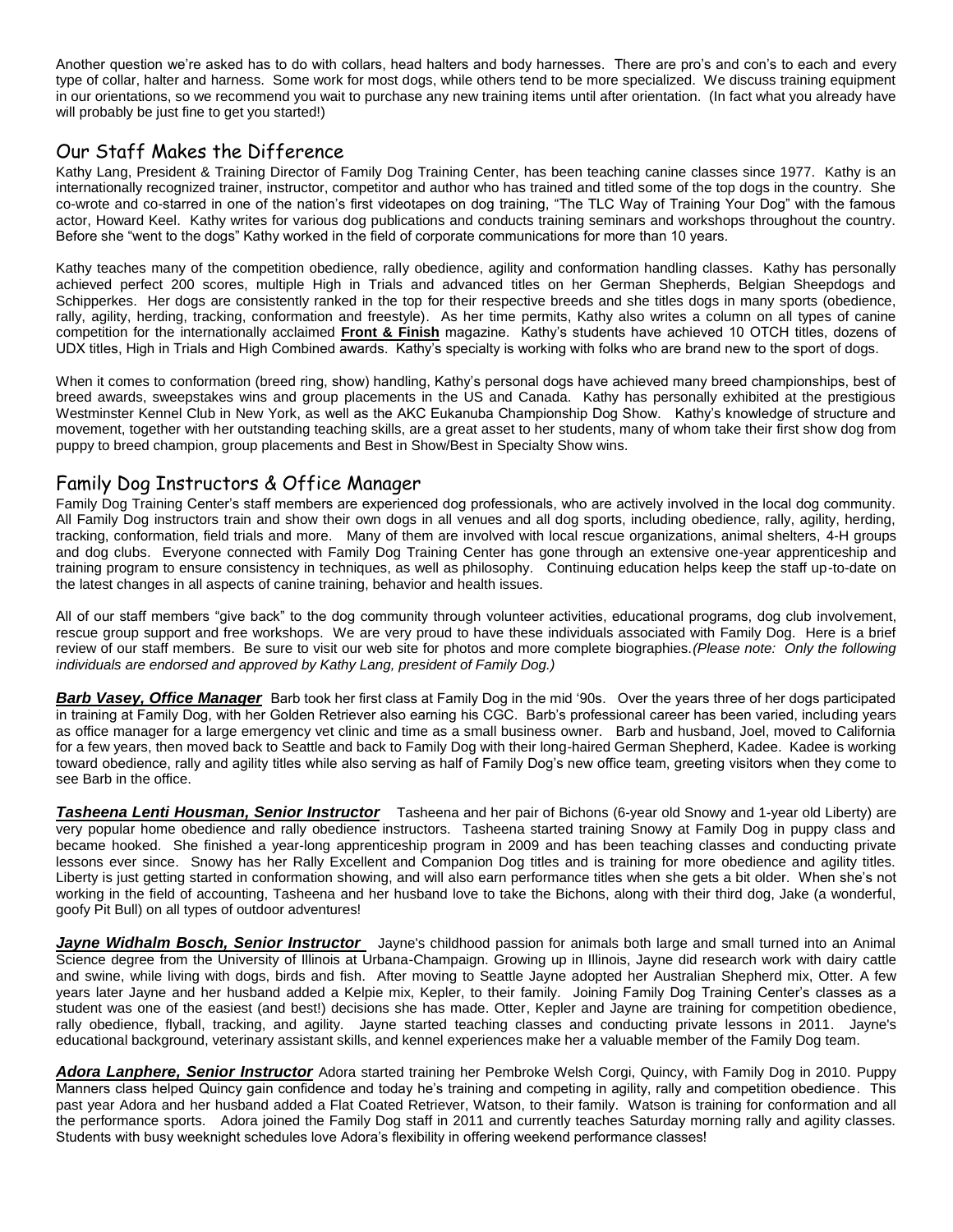Another question we're asked has to do with collars, head halters and body harnesses. There are pro's and con's to each and every type of collar, halter and harness. Some work for most dogs, while others tend to be more specialized. We discuss training equipment in our orientations, so we recommend you wait to purchase any new training items until after orientation. (In fact what you already have will probably be just fine to get you started!)

## Our Staff Makes the Difference

Kathy Lang, President & Training Director of Family Dog Training Center, has been teaching canine classes since 1977. Kathy is an internationally recognized trainer, instructor, competitor and author who has trained and titled some of the top dogs in the country. She co-wrote and co-starred in one of the nation's first videotapes on dog training, "The TLC Way of Training Your Dog" with the famous actor, Howard Keel. Kathy writes for various dog publications and conducts training seminars and workshops throughout the country. Before she "went to the dogs" Kathy worked in the field of corporate communications for more than 10 years.

Kathy teaches many of the competition obedience, rally obedience, agility and conformation handling classes. Kathy has personally achieved perfect 200 scores, multiple High in Trials and advanced titles on her German Shepherds, Belgian Sheepdogs and Schipperkes. Her dogs are consistently ranked in the top for their respective breeds and she titles dogs in many sports (obedience, rally, agility, herding, tracking, conformation and freestyle). As her time permits, Kathy also writes a column on all types of canine competition for the internationally acclaimed **Front & Finish** magazine. Kathy's students have achieved 10 OTCH titles, dozens of UDX titles, High in Trials and High Combined awards. Kathy's specialty is working with folks who are brand new to the sport of dogs.

When it comes to conformation (breed ring, show) handling, Kathy's personal dogs have achieved many breed championships, best of breed awards, sweepstakes wins and group placements in the US and Canada. Kathy has personally exhibited at the prestigious Westminster Kennel Club in New York, as well as the AKC Eukanuba Championship Dog Show. Kathy's knowledge of structure and movement, together with her outstanding teaching skills, are a great asset to her students, many of whom take their first show dog from puppy to breed champion, group placements and Best in Show/Best in Specialty Show wins.

#### Family Dog Instructors & Office Manager

Family Dog Training Center's staff members are experienced dog professionals, who are actively involved in the local dog community. All Family Dog instructors train and show their own dogs in all venues and all dog sports, including obedience, rally, agility, herding, tracking, conformation, field trials and more. Many of them are involved with local rescue organizations, animal shelters, 4-H groups and dog clubs. Everyone connected with Family Dog Training Center has gone through an extensive one-year apprenticeship and training program to ensure consistency in techniques, as well as philosophy. Continuing education helps keep the staff up-to-date on the latest changes in all aspects of canine training, behavior and health issues.

All of our staff members "give back" to the dog community through volunteer activities, educational programs, dog club involvement, rescue group support and free workshops. We are very proud to have these individuals associated with Family Dog. Here is a brief review of our staff members. Be sure to visit our web site for photos and more complete biographies.*(Please note: Only the following individuals are endorsed and approved by Kathy Lang, president of Family Dog.)*

*Barb Vasey, Office Manager* Barb took her first class at Family Dog in the mid '90s. Over the years three of her dogs participated in training at Family Dog, with her Golden Retriever also earning his CGC. Barb's professional career has been varied, including years as office manager for a large emergency vet clinic and time as a small business owner. Barb and husband, Joel, moved to California for a few years, then moved back to Seattle and back to Family Dog with their long-haired German Shepherd, Kadee. Kadee is working toward obedience, rally and agility titles while also serving as half of Family Dog's new office team, greeting visitors when they come to see Barb in the office.

*Tasheena Lenti Housman, Senior Instructor* Tasheena and her pair of Bichons (6-year old Snowy and 1-year old Liberty) are very popular home obedience and rally obedience instructors. Tasheena started training Snowy at Family Dog in puppy class and became hooked. She finished a year-long apprenticeship program in 2009 and has been teaching classes and conducting private lessons ever since. Snowy has her Rally Excellent and Companion Dog titles and is training for more obedience and agility titles. Liberty is just getting started in conformation showing, and will also earn performance titles when she gets a bit older. When she's not working in the field of accounting, Tasheena and her husband love to take the Bichons, along with their third dog, Jake (a wonderful, goofy Pit Bull) on all types of outdoor adventures!

*Jayne Widhalm Bosch, Senior Instructor* Jayne's childhood passion for animals both large and small turned into an Animal Science degree from the University of Illinois at Urbana-Champaign. Growing up in Illinois, Jayne did research work with dairy cattle and swine, while living with dogs, birds and fish. After moving to Seattle Jayne adopted her Australian Shepherd mix, Otter. A few years later Jayne and her husband added a Kelpie mix, Kepler, to their family. Joining Family Dog Training Center's classes as a student was one of the easiest (and best!) decisions she has made. Otter, Kepler and Jayne are training for competition obedience, rally obedience, flyball, tracking, and agility. Jayne started teaching classes and conducting private lessons in 2011. Jayne's educational background, veterinary assistant skills, and kennel experiences make her a valuable member of the Family Dog team.

*Adora Lanphere, Senior Instructor* Adora started training her Pembroke Welsh Corgi, Quincy, with Family Dog in 2010. Puppy Manners class helped Quincy gain confidence and today he's training and competing in agility, rally and competition obedience. This past year Adora and her husband added a Flat Coated Retriever, Watson, to their family. Watson is training for conformation and all the performance sports. Adora joined the Family Dog staff in 2011 and currently teaches Saturday morning rally and agility classes. Students with busy weeknight schedules love Adora's flexibility in offering weekend performance classes!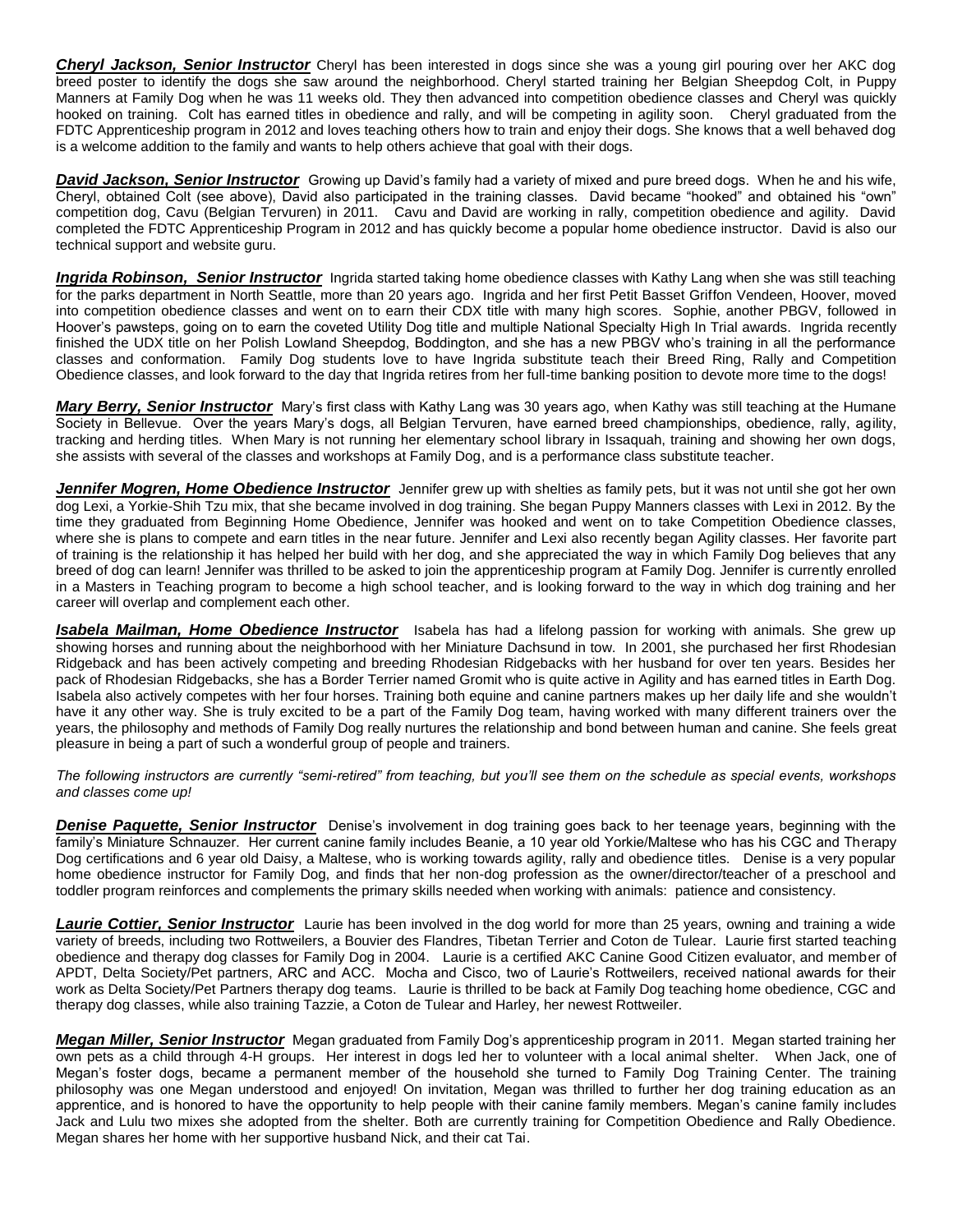*Cheryl Jackson, Senior Instructor* Cheryl has been interested in dogs since she was a young girl pouring over her AKC dog breed poster to identify the dogs she saw around the neighborhood. Cheryl started training her Belgian Sheepdog Colt, in Puppy Manners at Family Dog when he was 11 weeks old. They then advanced into competition obedience classes and Cheryl was quickly hooked on training. Colt has earned titles in obedience and rally, and will be competing in agility soon. Cheryl graduated from the FDTC Apprenticeship program in 2012 and loves teaching others how to train and enjoy their dogs. She knows that a well behaved dog is a welcome addition to the family and wants to help others achieve that goal with their dogs.

*David Jackson, Senior Instructor* Growing up David's family had a variety of mixed and pure breed dogs. When he and his wife, Cheryl, obtained Colt (see above), David also participated in the training classes. David became "hooked" and obtained his "own" competition dog, Cavu (Belgian Tervuren) in 2011. Cavu and David are working in rally, competition obedience and agility. David completed the FDTC Apprenticeship Program in 2012 and has quickly become a popular home obedience instructor. David is also our technical support and website guru.

*Ingrida Robinson, Senior Instructor* Ingrida started taking home obedience classes with Kathy Lang when she was still teaching for the parks department in North Seattle, more than 20 years ago. Ingrida and her first Petit Basset Griffon Vendeen, Hoover, moved into competition obedience classes and went on to earn their CDX title with many high scores. Sophie, another PBGV, followed in Hoover's pawsteps, going on to earn the coveted Utility Dog title and multiple National Specialty High In Trial awards. Ingrida recently finished the UDX title on her Polish Lowland Sheepdog, Boddington, and she has a new PBGV who's training in all the performance classes and conformation. Family Dog students love to have Ingrida substitute teach their Breed Ring, Rally and Competition Obedience classes, and look forward to the day that Ingrida retires from her full-time banking position to devote more time to the dogs!

*Mary Berry, Senior Instructor* Mary's first class with Kathy Lang was 30 years ago, when Kathy was still teaching at the Humane Society in Bellevue. Over the years Mary's dogs, all Belgian Tervuren, have earned breed championships, obedience, rally, agility, tracking and herding titles. When Mary is not running her elementary school library in Issaquah, training and showing her own dogs, she assists with several of the classes and workshops at Family Dog, and is a performance class substitute teacher.

*Jennifer Mogren, Home Obedience Instructor* Jennifer grew up with shelties as family pets, but it was not until she got her own dog Lexi, a Yorkie-Shih Tzu mix, that she became involved in dog training. She began Puppy Manners classes with Lexi in 2012. By the time they graduated from Beginning Home Obedience, Jennifer was hooked and went on to take Competition Obedience classes, where she is plans to compete and earn titles in the near future. Jennifer and Lexi also recently began Agility classes. Her favorite part of training is the relationship it has helped her build with her dog, and she appreciated the way in which Family Dog believes that any breed of dog can learn! Jennifer was thrilled to be asked to join the apprenticeship program at Family Dog. Jennifer is currently enrolled in a Masters in Teaching program to become a high school teacher, and is looking forward to the way in which dog training and her career will overlap and complement each other.

*Isabela Mailman, Home Obedience Instructor* Isabela has had a lifelong passion for working with animals. She grew up showing horses and running about the neighborhood with her Miniature Dachsund in tow. In 2001, she purchased her first Rhodesian Ridgeback and has been actively competing and breeding Rhodesian Ridgebacks with her husband for over ten years. Besides her pack of Rhodesian Ridgebacks, she has a Border Terrier named Gromit who is quite active in Agility and has earned titles in Earth Dog. Isabela also actively competes with her four horses. Training both equine and canine partners makes up her daily life and she wouldn't have it any other way. She is truly excited to be a part of the Family Dog team, having worked with many different trainers over the years, the philosophy and methods of Family Dog really nurtures the relationship and bond between human and canine. She feels great pleasure in being a part of such a wonderful group of people and trainers.

*The following instructors are currently "semi-retired" from teaching, but you'll see them on the schedule as special events, workshops and classes come up!*

**Denise Paquette, Senior Instructor** Denise's involvement in dog training goes back to her teenage years, beginning with the family's Miniature Schnauzer. Her current canine family includes Beanie, a 10 year old Yorkie/Maltese who has his CGC and Therapy Dog certifications and 6 year old Daisy, a Maltese, who is working towards agility, rally and obedience titles. Denise is a very popular home obedience instructor for Family Dog, and finds that her non-dog profession as the owner/director/teacher of a preschool and toddler program reinforces and complements the primary skills needed when working with animals: patience and consistency.

*Laurie Cottier, Senior Instructor* Laurie has been involved in the dog world for more than 25 years, owning and training a wide variety of breeds, including two Rottweilers, a Bouvier des Flandres, Tibetan Terrier and Coton de Tulear. Laurie first started teaching obedience and therapy dog classes for Family Dog in 2004. Laurie is a certified AKC Canine Good Citizen evaluator, and member of APDT, Delta Society/Pet partners, ARC and ACC. Mocha and Cisco, two of Laurie's Rottweilers, received national awards for their work as Delta Society/Pet Partners therapy dog teams. Laurie is thrilled to be back at Family Dog teaching home obedience, CGC and therapy dog classes, while also training Tazzie, a Coton de Tulear and Harley, her newest Rottweiler.

*Megan Miller, Senior Instructor* Megan graduated from Family Dog's apprenticeship program in 2011. Megan started training her own pets as a child through 4-H groups. Her interest in dogs led her to volunteer with a local animal shelter. When Jack, one of Megan's foster dogs, became a permanent member of the household she turned to Family Dog Training Center. The training philosophy was one Megan understood and enjoyed! On invitation, Megan was thrilled to further her dog training education as an apprentice, and is honored to have the opportunity to help people with their canine family members. Megan's canine family includes Jack and Lulu two mixes she adopted from the shelter. Both are currently training for Competition Obedience and Rally Obedience. Megan shares her home with her supportive husband Nick, and their cat Tai.